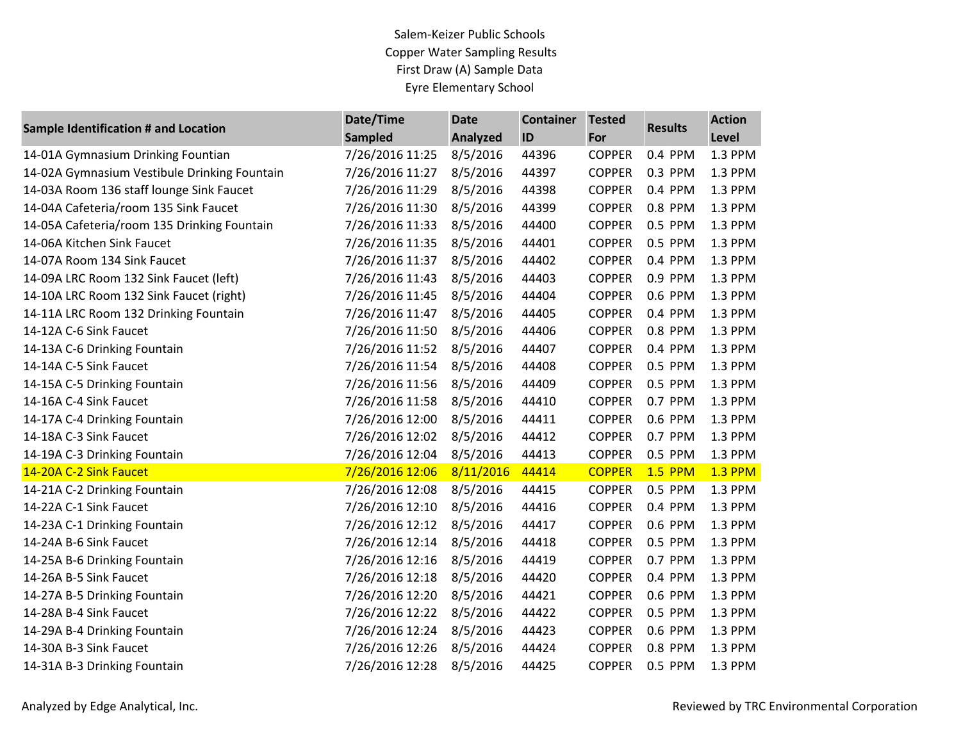| <b>Sample Identification # and Location</b>  | Date/Time       | <b>Date</b>     | <b>Container</b> | <b>Tested</b> | <b>Results</b> | <b>Action</b>  |
|----------------------------------------------|-----------------|-----------------|------------------|---------------|----------------|----------------|
|                                              | <b>Sampled</b>  | <b>Analyzed</b> | ID               | For           |                | Level          |
| 14-01A Gymnasium Drinking Fountian           | 7/26/2016 11:25 | 8/5/2016        | 44396            | <b>COPPER</b> | 0.4 PPM        | 1.3 PPM        |
| 14-02A Gymnasium Vestibule Drinking Fountain | 7/26/2016 11:27 | 8/5/2016        | 44397            | <b>COPPER</b> | 0.3 PPM        | 1.3 PPM        |
| 14-03A Room 136 staff lounge Sink Faucet     | 7/26/2016 11:29 | 8/5/2016        | 44398            | <b>COPPER</b> | 0.4 PPM        | 1.3 PPM        |
| 14-04A Cafeteria/room 135 Sink Faucet        | 7/26/2016 11:30 | 8/5/2016        | 44399            | <b>COPPER</b> | 0.8 PPM        | 1.3 PPM        |
| 14-05A Cafeteria/room 135 Drinking Fountain  | 7/26/2016 11:33 | 8/5/2016        | 44400            | <b>COPPER</b> | 0.5 PPM        | 1.3 PPM        |
| 14-06A Kitchen Sink Faucet                   | 7/26/2016 11:35 | 8/5/2016        | 44401            | <b>COPPER</b> | 0.5 PPM        | 1.3 PPM        |
| 14-07A Room 134 Sink Faucet                  | 7/26/2016 11:37 | 8/5/2016        | 44402            | <b>COPPER</b> | 0.4 PPM        | 1.3 PPM        |
| 14-09A LRC Room 132 Sink Faucet (left)       | 7/26/2016 11:43 | 8/5/2016        | 44403            | <b>COPPER</b> | 0.9 PPM        | 1.3 PPM        |
| 14-10A LRC Room 132 Sink Faucet (right)      | 7/26/2016 11:45 | 8/5/2016        | 44404            | <b>COPPER</b> | 0.6 PPM        | 1.3 PPM        |
| 14-11A LRC Room 132 Drinking Fountain        | 7/26/2016 11:47 | 8/5/2016        | 44405            | <b>COPPER</b> | 0.4 PPM        | 1.3 PPM        |
| 14-12A C-6 Sink Faucet                       | 7/26/2016 11:50 | 8/5/2016        | 44406            | <b>COPPER</b> | 0.8 PPM        | 1.3 PPM        |
| 14-13A C-6 Drinking Fountain                 | 7/26/2016 11:52 | 8/5/2016        | 44407            | <b>COPPER</b> | 0.4 PPM        | 1.3 PPM        |
| 14-14A C-5 Sink Faucet                       | 7/26/2016 11:54 | 8/5/2016        | 44408            | <b>COPPER</b> | 0.5 PPM        | 1.3 PPM        |
| 14-15A C-5 Drinking Fountain                 | 7/26/2016 11:56 | 8/5/2016        | 44409            | <b>COPPER</b> | 0.5 PPM        | 1.3 PPM        |
| 14-16A C-4 Sink Faucet                       | 7/26/2016 11:58 | 8/5/2016        | 44410            | <b>COPPER</b> | 0.7 PPM        | 1.3 PPM        |
| 14-17A C-4 Drinking Fountain                 | 7/26/2016 12:00 | 8/5/2016        | 44411            | <b>COPPER</b> | 0.6 PPM        | 1.3 PPM        |
| 14-18A C-3 Sink Faucet                       | 7/26/2016 12:02 | 8/5/2016        | 44412            | <b>COPPER</b> | 0.7 PPM        | 1.3 PPM        |
| 14-19A C-3 Drinking Fountain                 | 7/26/2016 12:04 | 8/5/2016        | 44413            | <b>COPPER</b> | 0.5 PPM        | 1.3 PPM        |
| 14-20A C-2 Sink Faucet                       | 7/26/2016 12:06 | 8/11/2016       | 44414            | <b>COPPER</b> | <b>1.5 PPM</b> | <b>1.3 PPM</b> |
| 14-21A C-2 Drinking Fountain                 | 7/26/2016 12:08 | 8/5/2016        | 44415            | <b>COPPER</b> | 0.5 PPM        | 1.3 PPM        |
| 14-22A C-1 Sink Faucet                       | 7/26/2016 12:10 | 8/5/2016        | 44416            | <b>COPPER</b> | 0.4 PPM        | 1.3 PPM        |
| 14-23A C-1 Drinking Fountain                 | 7/26/2016 12:12 | 8/5/2016        | 44417            | <b>COPPER</b> | 0.6 PPM        | 1.3 PPM        |
| 14-24A B-6 Sink Faucet                       | 7/26/2016 12:14 | 8/5/2016        | 44418            | <b>COPPER</b> | 0.5 PPM        | 1.3 PPM        |
| 14-25A B-6 Drinking Fountain                 | 7/26/2016 12:16 | 8/5/2016        | 44419            | <b>COPPER</b> | 0.7 PPM        | 1.3 PPM        |
| 14-26A B-5 Sink Faucet                       | 7/26/2016 12:18 | 8/5/2016        | 44420            | <b>COPPER</b> | 0.4 PPM        | 1.3 PPM        |
| 14-27A B-5 Drinking Fountain                 | 7/26/2016 12:20 | 8/5/2016        | 44421            | <b>COPPER</b> | 0.6 PPM        | 1.3 PPM        |
| 14-28A B-4 Sink Faucet                       | 7/26/2016 12:22 | 8/5/2016        | 44422            | <b>COPPER</b> | 0.5 PPM        | 1.3 PPM        |
| 14-29A B-4 Drinking Fountain                 | 7/26/2016 12:24 | 8/5/2016        | 44423            | <b>COPPER</b> | 0.6 PPM        | 1.3 PPM        |
| 14-30A B-3 Sink Faucet                       | 7/26/2016 12:26 | 8/5/2016        | 44424            | <b>COPPER</b> | 0.8 PPM        | 1.3 PPM        |
| 14-31A B-3 Drinking Fountain                 | 7/26/2016 12:28 | 8/5/2016        | 44425            | <b>COPPER</b> | 0.5 PPM        | 1.3 PPM        |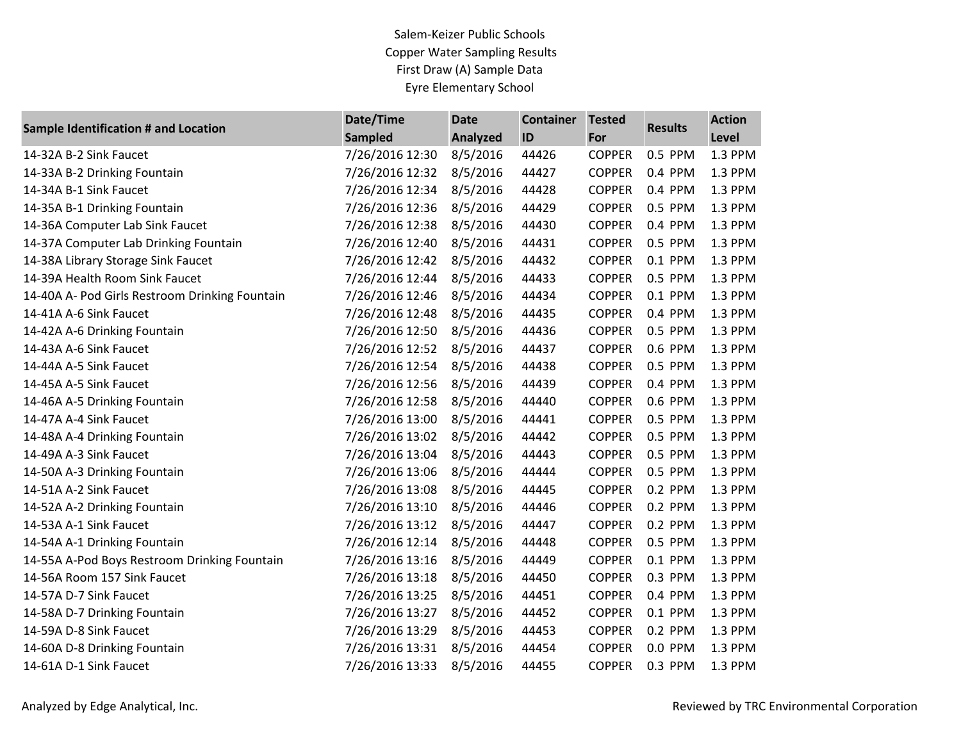| Sample Identification # and Location           | Date/Time       | <b>Date</b>     | <b>Container</b> | <b>Tested</b> | <b>Results</b> | <b>Action</b> |
|------------------------------------------------|-----------------|-----------------|------------------|---------------|----------------|---------------|
|                                                | <b>Sampled</b>  | <b>Analyzed</b> | ID               | For           |                | Level         |
| 14-32A B-2 Sink Faucet                         | 7/26/2016 12:30 | 8/5/2016        | 44426            | <b>COPPER</b> | 0.5 PPM        | 1.3 PPM       |
| 14-33A B-2 Drinking Fountain                   | 7/26/2016 12:32 | 8/5/2016        | 44427            | <b>COPPER</b> | 0.4 PPM        | 1.3 PPM       |
| 14-34A B-1 Sink Faucet                         | 7/26/2016 12:34 | 8/5/2016        | 44428            | <b>COPPER</b> | 0.4 PPM        | 1.3 PPM       |
| 14-35A B-1 Drinking Fountain                   | 7/26/2016 12:36 | 8/5/2016        | 44429            | <b>COPPER</b> | 0.5 PPM        | 1.3 PPM       |
| 14-36A Computer Lab Sink Faucet                | 7/26/2016 12:38 | 8/5/2016        | 44430            | <b>COPPER</b> | 0.4 PPM        | 1.3 PPM       |
| 14-37A Computer Lab Drinking Fountain          | 7/26/2016 12:40 | 8/5/2016        | 44431            | <b>COPPER</b> | 0.5 PPM        | 1.3 PPM       |
| 14-38A Library Storage Sink Faucet             | 7/26/2016 12:42 | 8/5/2016        | 44432            | <b>COPPER</b> | 0.1 PPM        | 1.3 PPM       |
| 14-39A Health Room Sink Faucet                 | 7/26/2016 12:44 | 8/5/2016        | 44433            | <b>COPPER</b> | 0.5 PPM        | 1.3 PPM       |
| 14-40A A- Pod Girls Restroom Drinking Fountain | 7/26/2016 12:46 | 8/5/2016        | 44434            | <b>COPPER</b> | 0.1 PPM        | 1.3 PPM       |
| 14-41A A-6 Sink Faucet                         | 7/26/2016 12:48 | 8/5/2016        | 44435            | <b>COPPER</b> | 0.4 PPM        | 1.3 PPM       |
| 14-42A A-6 Drinking Fountain                   | 7/26/2016 12:50 | 8/5/2016        | 44436            | <b>COPPER</b> | 0.5 PPM        | 1.3 PPM       |
| 14-43A A-6 Sink Faucet                         | 7/26/2016 12:52 | 8/5/2016        | 44437            | <b>COPPER</b> | 0.6 PPM        | 1.3 PPM       |
| 14-44A A-5 Sink Faucet                         | 7/26/2016 12:54 | 8/5/2016        | 44438            | <b>COPPER</b> | 0.5 PPM        | 1.3 PPM       |
| 14-45A A-5 Sink Faucet                         | 7/26/2016 12:56 | 8/5/2016        | 44439            | <b>COPPER</b> | 0.4 PPM        | 1.3 PPM       |
| 14-46A A-5 Drinking Fountain                   | 7/26/2016 12:58 | 8/5/2016        | 44440            | <b>COPPER</b> | 0.6 PPM        | 1.3 PPM       |
| 14-47A A-4 Sink Faucet                         | 7/26/2016 13:00 | 8/5/2016        | 44441            | <b>COPPER</b> | 0.5 PPM        | 1.3 PPM       |
| 14-48A A-4 Drinking Fountain                   | 7/26/2016 13:02 | 8/5/2016        | 44442            | <b>COPPER</b> | 0.5 PPM        | 1.3 PPM       |
| 14-49A A-3 Sink Faucet                         | 7/26/2016 13:04 | 8/5/2016        | 44443            | <b>COPPER</b> | 0.5 PPM        | 1.3 PPM       |
| 14-50A A-3 Drinking Fountain                   | 7/26/2016 13:06 | 8/5/2016        | 44444            | <b>COPPER</b> | 0.5 PPM        | 1.3 PPM       |
| 14-51A A-2 Sink Faucet                         | 7/26/2016 13:08 | 8/5/2016        | 44445            | <b>COPPER</b> | 0.2 PPM        | 1.3 PPM       |
| 14-52A A-2 Drinking Fountain                   | 7/26/2016 13:10 | 8/5/2016        | 44446            | <b>COPPER</b> | 0.2 PPM        | 1.3 PPM       |
| 14-53A A-1 Sink Faucet                         | 7/26/2016 13:12 | 8/5/2016        | 44447            | <b>COPPER</b> | 0.2 PPM        | 1.3 PPM       |
| 14-54A A-1 Drinking Fountain                   | 7/26/2016 12:14 | 8/5/2016        | 44448            | <b>COPPER</b> | 0.5 PPM        | 1.3 PPM       |
| 14-55A A-Pod Boys Restroom Drinking Fountain   | 7/26/2016 13:16 | 8/5/2016        | 44449            | <b>COPPER</b> | 0.1 PPM        | 1.3 PPM       |
| 14-56A Room 157 Sink Faucet                    | 7/26/2016 13:18 | 8/5/2016        | 44450            | <b>COPPER</b> | 0.3 PPM        | 1.3 PPM       |
| 14-57A D-7 Sink Faucet                         | 7/26/2016 13:25 | 8/5/2016        | 44451            | <b>COPPER</b> | 0.4 PPM        | 1.3 PPM       |
| 14-58A D-7 Drinking Fountain                   | 7/26/2016 13:27 | 8/5/2016        | 44452            | <b>COPPER</b> | 0.1 PPM        | 1.3 PPM       |
| 14-59A D-8 Sink Faucet                         | 7/26/2016 13:29 | 8/5/2016        | 44453            | <b>COPPER</b> | 0.2 PPM        | 1.3 PPM       |
| 14-60A D-8 Drinking Fountain                   | 7/26/2016 13:31 | 8/5/2016        | 44454            | <b>COPPER</b> | 0.0 PPM        | 1.3 PPM       |
| 14-61A D-1 Sink Faucet                         | 7/26/2016 13:33 | 8/5/2016        | 44455            | <b>COPPER</b> | 0.3 PPM        | 1.3 PPM       |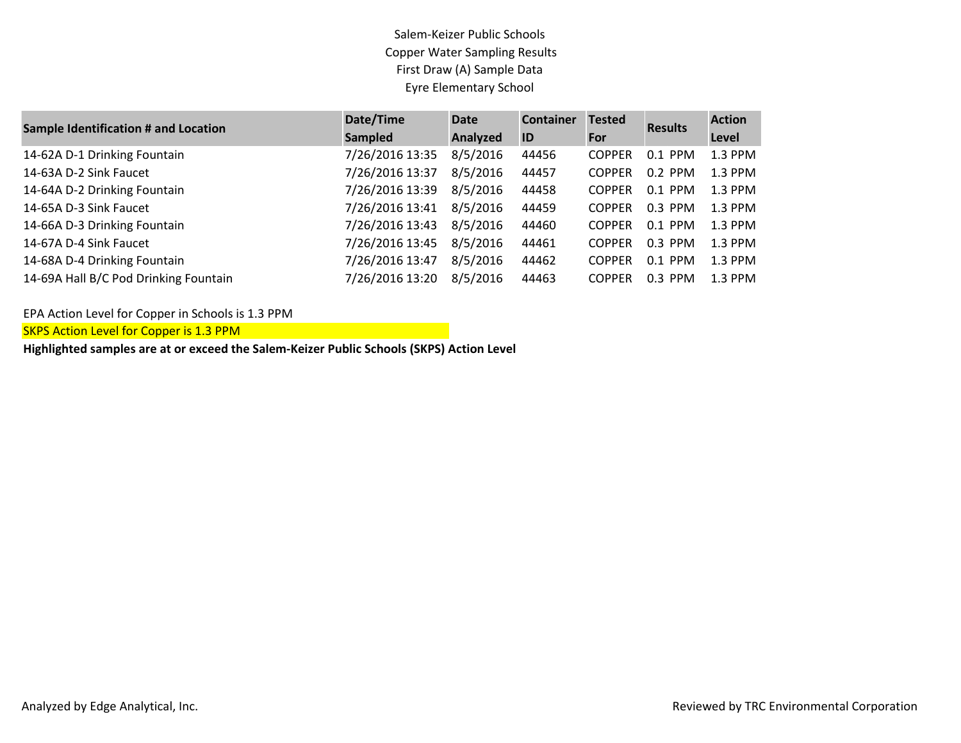| <b>Sample Identification # and Location</b> | Date/Time       | <b>Date</b>     | <b>Container</b> | <b>Tested</b> | <b>Results</b> | <b>Action</b> |
|---------------------------------------------|-----------------|-----------------|------------------|---------------|----------------|---------------|
|                                             | <b>Sampled</b>  | <b>Analyzed</b> | ID               | For           |                | Level         |
| 14-62A D-1 Drinking Fountain                | 7/26/2016 13:35 | 8/5/2016        | 44456            | <b>COPPER</b> | $0.1$ PPM      | $1.3$ PPM     |
| 14-63A D-2 Sink Faucet                      | 7/26/2016 13:37 | 8/5/2016        | 44457            | <b>COPPER</b> | $0.2$ PPM      | $1.3$ PPM     |
| 14-64A D-2 Drinking Fountain                | 7/26/2016 13:39 | 8/5/2016        | 44458            | <b>COPPER</b> | $0.1$ PPM      | $1.3$ PPM     |
| 14-65A D-3 Sink Faucet                      | 7/26/2016 13:41 | 8/5/2016        | 44459            | <b>COPPER</b> | $0.3$ PPM      | $1.3$ PPM     |
| 14-66A D-3 Drinking Fountain                | 7/26/2016 13:43 | 8/5/2016        | 44460            | <b>COPPER</b> | $0.1$ PPM      | $1.3$ PPM     |
| 14-67A D-4 Sink Faucet                      | 7/26/2016 13:45 | 8/5/2016        | 44461            | <b>COPPER</b> | $0.3$ PPM      | $1.3$ PPM     |
| 14-68A D-4 Drinking Fountain                | 7/26/2016 13:47 | 8/5/2016        | 44462            | <b>COPPER</b> | $0.1$ PPM      | $1.3$ PPM     |
| 14-69A Hall B/C Pod Drinking Fountain       | 7/26/2016 13:20 | 8/5/2016        | 44463            | <b>COPPER</b> | $0.3$ PPM      | $1.3$ PPM     |

EPA Action Level for Copper in Schools is 1.3 PPM

SKPS Action Level for Copper is 1.3 PPM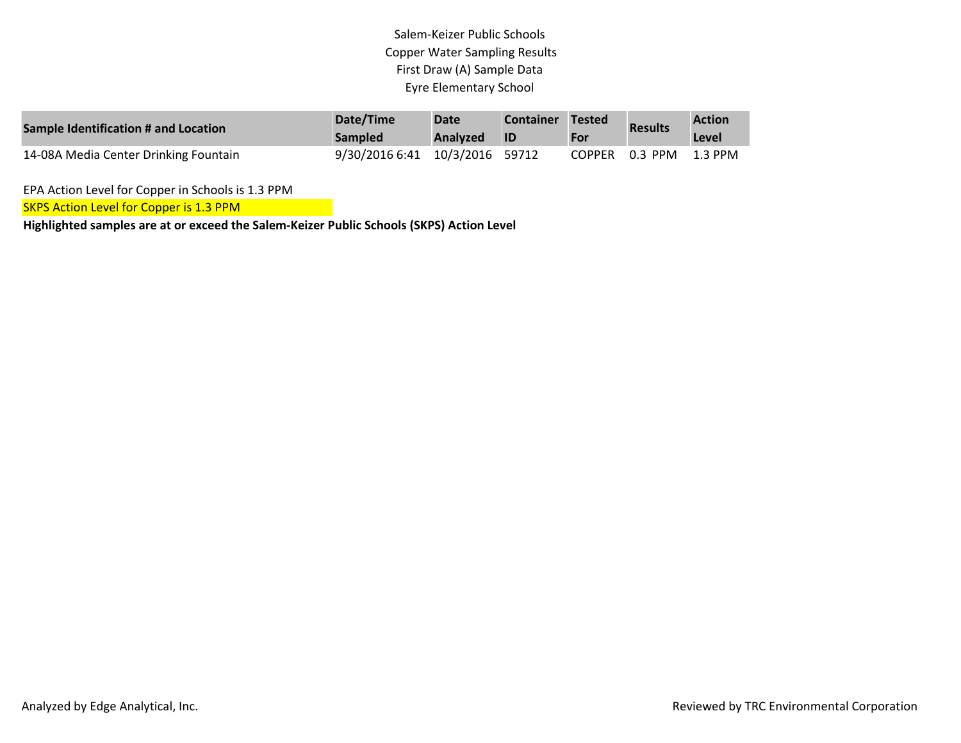| Sample Identification # and Location  | Date/Time<br><b>Sampled</b>    | <b>Date</b><br><b>Analyzed</b> | <b>Container</b><br><b>ID</b> | Tested<br>For | <b>Results</b> | <b>Action</b><br>Level |
|---------------------------------------|--------------------------------|--------------------------------|-------------------------------|---------------|----------------|------------------------|
| 14-08A Media Center Drinking Fountain | 9/30/2016 6:41 10/3/2016 59712 |                                |                               | COPPER        | 0.3 PPM        | 1.3 PPM                |

EPA Action Level for Copper in Schools is 1.3 PPM

**SKPS Action Level for Copper is 1.3 PPM**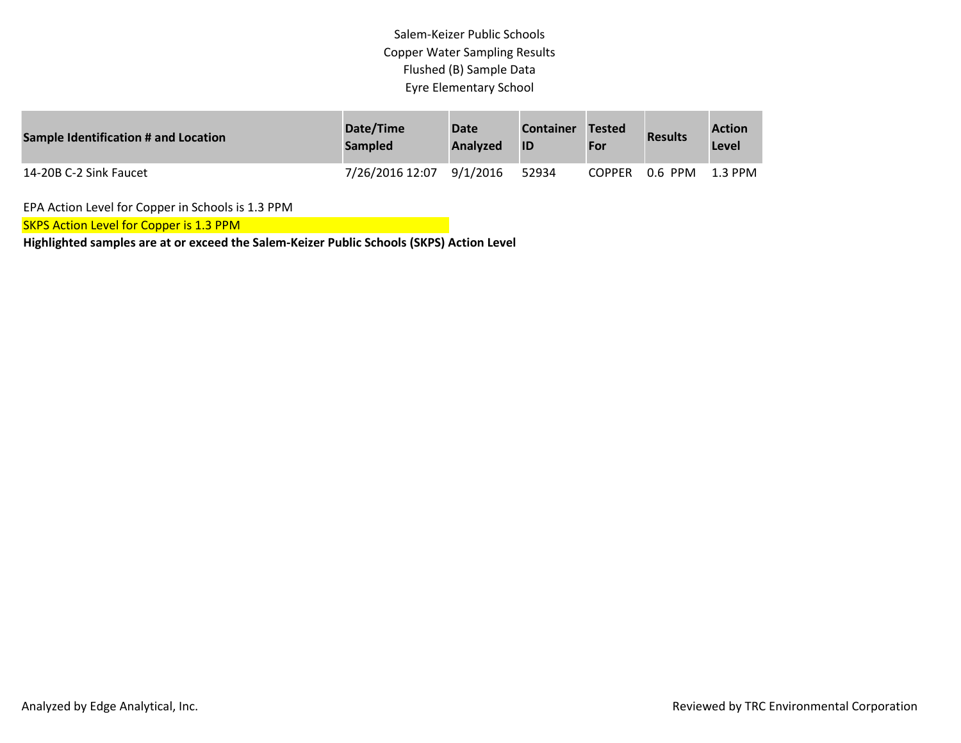| Sample Identification # and Location | Date/Time<br><b>Sampled</b> | <b>Date</b><br>Analyzed | <b>Container</b> | Tested<br>For | <b>Results</b> | <b>Action</b><br>Level |
|--------------------------------------|-----------------------------|-------------------------|------------------|---------------|----------------|------------------------|
| 14-20B C-2 Sink Faucet               | 7/26/2016 12:07             | 9/1/2016                | 52934            | <b>COPPER</b> | 0.6 PPM        | $1.3$ PPM              |

EPA Action Level for Copper in Schools is 1.3 PPM

**SKPS Action Level for Copper is 1.3 PPM**